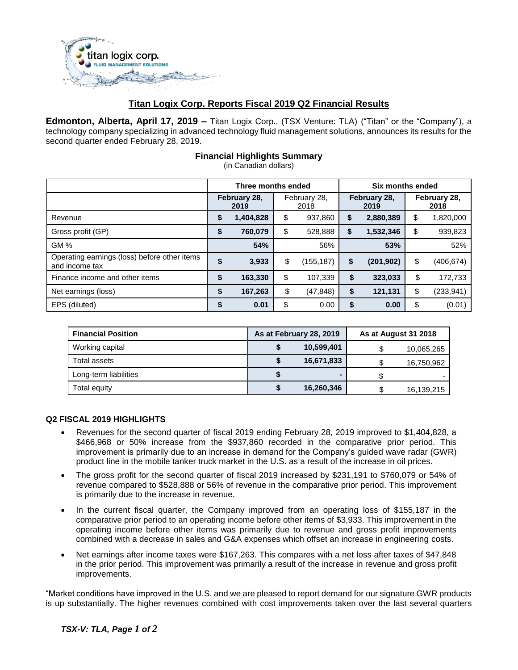

# **Titan Logix Corp. Reports Fiscal 2019 Q2 Financial Results**

**Edmonton, Alberta, April 17, 2019 –** Titan Logix Corp., (TSX Venture: TLA) ("Titan" or the "Company"), a technology company specializing in advanced technology fluid management solutions, announces its results for the second quarter ended February 28, 2019.

## **Financial Highlights Summary**

(in Canadian dollars)

|                                                                | Three months ended   |           |                      | Six months ended |                      |            |                      |           |
|----------------------------------------------------------------|----------------------|-----------|----------------------|------------------|----------------------|------------|----------------------|-----------|
|                                                                | February 28,<br>2019 |           | February 28,<br>2018 |                  | February 28,<br>2019 |            | February 28,<br>2018 |           |
| Revenue                                                        | \$                   | 1,404,828 | \$                   | 937,860          | S                    | 2,880,389  | \$                   | 1,820,000 |
| Gross profit (GP)                                              | \$                   | 760,079   | \$                   | 528,888          | \$                   | 1,532,346  | \$                   | 939,823   |
| GM%                                                            |                      | 54%       |                      | 56%              |                      | 53%        |                      | 52%       |
| Operating earnings (loss) before other items<br>and income tax | \$                   | 3,933     | \$                   | (155, 187)       | \$                   | (201, 902) | \$                   | (406,674) |
| Finance income and other items                                 | \$                   | 163,330   | \$                   | 107,339          | \$                   | 323,033    | \$                   | 172,733   |
| Net earnings (loss)                                            | \$                   | 167,263   | \$                   | (47, 848)        | \$                   | 121,131    | \$                   | (233,941) |
| EPS (diluted)                                                  | \$                   | 0.01      | \$                   | 0.00             | \$                   | 0.00       | \$                   | (0.01)    |

| <b>Financial Position</b> | As at February 28, 2019 | As at August 31 2018 |            |  |
|---------------------------|-------------------------|----------------------|------------|--|
| Working capital           | 10,599,401              |                      | 10,065,265 |  |
| Total assets              | 16,671,833              |                      | 16,750,962 |  |
| Long-term liabilities     | $\blacksquare$          |                      |            |  |
| Total equity              | 16,260,346              |                      | 16,139,215 |  |

### **Q2 FISCAL 2019 HIGHLIGHTS**

- Revenues for the second quarter of fiscal 2019 ending February 28, 2019 improved to \$1,404,828, a \$466,968 or 50% increase from the \$937,860 recorded in the comparative prior period. This improvement is primarily due to an increase in demand for the Company's guided wave radar (GWR) product line in the mobile tanker truck market in the U.S. as a result of the increase in oil prices.
- The gross profit for the second quarter of fiscal 2019 increased by \$231,191 to \$760,079 or 54% of revenue compared to \$528,888 or 56% of revenue in the comparative prior period. This improvement is primarily due to the increase in revenue.
- In the current fiscal quarter, the Company improved from an operating loss of \$155,187 in the comparative prior period to an operating income before other items of \$3,933. This improvement in the operating income before other items was primarily due to revenue and gross profit improvements combined with a decrease in sales and G&A expenses which offset an increase in engineering costs.
- Net earnings after income taxes were \$167,263. This compares with a net loss after taxes of \$47,848 in the prior period. This improvement was primarily a result of the increase in revenue and gross profit improvements.

"Market conditions have improved in the U.S. and we are pleased to report demand for our signature GWR products is up substantially. The higher revenues combined with cost improvements taken over the last several quarters